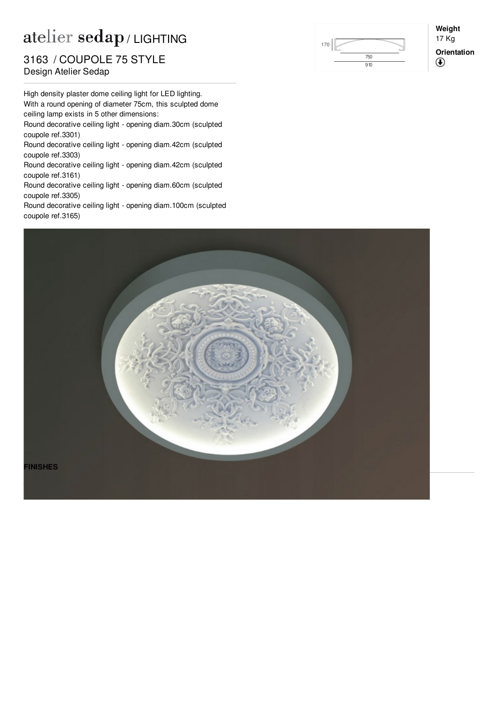## atelier sedap / LIGHTING

## **Design Atelier Sedap** 3163 / COUPOLE 75 STYLE

High density plaster dome ceiling light for LED lighting. With a round opening of diameter 75cm, this sculpted dome ceiling lamp exists in 5 other dimensions:

Round decorative ceiling light - opening diam.30cm (sculpted coupole ref[.3301](http://www.sedap.com/lighting/en/produits/view/3301))

Round decorative ceiling light - opening diam.42cm (sculpted coupole ref[.3303](http://www.sedap.com/lighting/en/produits/view/3303))

Round decorative ceiling light - opening diam.42cm (sculpted coupole ref[.3161](http://www.sedap.com/lighting/en/produits/view/3161))

Round decorative ceiling light - opening diam.60cm (sculpted coupole ref[.3305](http://www.sedap.com/lighting/en/produits/view/3305))

Round decorative ceiling light - opening diam.100cm (sculpted coupole ref[.3165](http://www.sedap.com/lighting/en/produits/view/3165))



**Weight** 17 Kg **Orientation** $^\circledR$